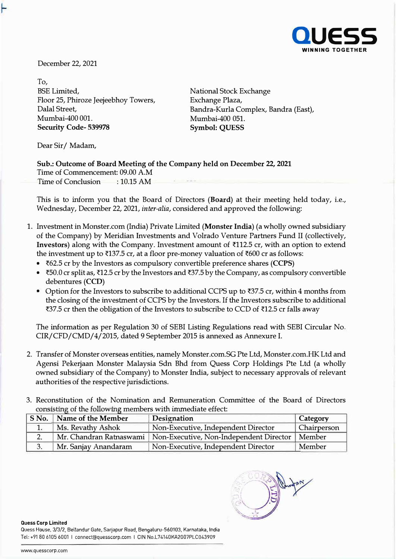

December 22, 2021

To, BSE Limited, National Stock Exchange Floor 25, Phiroze Jeejeebhoy Towers, Dalal Street, Mumbai-400 001. **Security Code- 539978 Symbol: QUESS** 

Exchange Plaza, Bandra-Kurla Complex, Bandra (East), Mumbai-400 051.

Dear Sir/ Madam,

## **Sub.: Outcome of Board Meeting of the Company held on December 22, 2021**  Time of Commencement: 09.00 A.M Time of Conclusion : 10.15 AM

This is to inform you that the Board of Directors **(Board)** at their meeting held today, i.e., Wednesday, December 22, 2021, *inter-alia,* considered and approved the following:

- 1. Investment in Monster.com (India) Private Limited **(Monster India)** (a wholly owned subsidiary of the Company) by Meridian Investments and Volrado Venture Partners Fund II (collectively, Investors) along with the Company. Investment amount of ₹112.5 cr, with an option to extend the investment up to  $\overline{3137.5}$  cr, at a floor pre-money valuation of  $\overline{600}$  cr as follows:
	- �62.5 er by the Investors as compulsory convertible preference shares **(CCPS)**
	- $\bar{\tau}$ 50.0 cr split as,  $\bar{\tau}$ 12.5 cr by the Investors and  $\bar{\tau}$ 37.5 by the Company, as compulsory convertible debentures **(CCD)**
	- Option for the Investors to subscribe to additional CCPS up to  $37.5$  cr, within 4 months from the closing of the investment of CCPS by the Investors. If the Investors subscribe to additional ₹37.5 cr then the obligation of the Investors to subscribe to CCD of ₹12.5 cr falls away

The information as per Regulation 30 of SEBI Listing Regulations read with SEBI Circular No. CIR/CFD/CMD/4/2015, dated 9 September 2015 is annexed as Annexure I.

- 2. Transfer of Monster overseas entities, namely Monster .com.SG Pte Ltd, Monster .com.HK Ltd and Agensi Pekerjaan Monster Malaysia Sdn Bhd from Quess Corp Holdings Pte Ltd (a wholly owned subsidiary of the Company) to Monster India, subject to necessary approvals of relevant authorities of the respective jurisdictions.
- 3. Reconstitution of the Nomination and Remuneration Committee of the Board of Directors consisting of the following members with immediate effect:

| S No.   Name of the Member | Designation                                                       | Category    |
|----------------------------|-------------------------------------------------------------------|-------------|
| Ms. Revathy Ashok          | Non-Executive, Independent Director                               | Chairperson |
|                            | Mr. Chandran Ratnaswami   Non-Executive, Non-Independent Director | Member      |
| Mr. Sanjay Anandaram       | Non-Executive, Independent Director                               | Member      |

**Quess Corp Limited**  Quess House, 3 /3 /2, Bellandur Gate, Sarjapur Road, Bengaluru-560103, Karnataka, India Tel: +91 80 6105 6001 I connect@quesscorp.com I GIN No.L74140KA2007PLC043909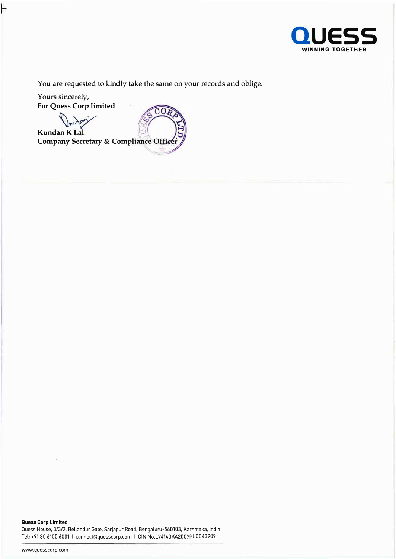

You are requested to kindly take the same on your records and oblige.

Yours sincerely, **For Quess Corp limited** 

 $\widehat{\mathbb{CO}R}$ Danter **KundanKLal Company Secretary & Compliance Office** 

**Quess Corp Limited**  Quess House, 3/3/2, Bellandur Gate, Sarjapur Road, Bengaluru-560103, Karnataka, India Tel: +91 80 6105 6001 I connect@quesscorp.com I CIN No.L74140KA2007PLC043909

www.quesscorp.com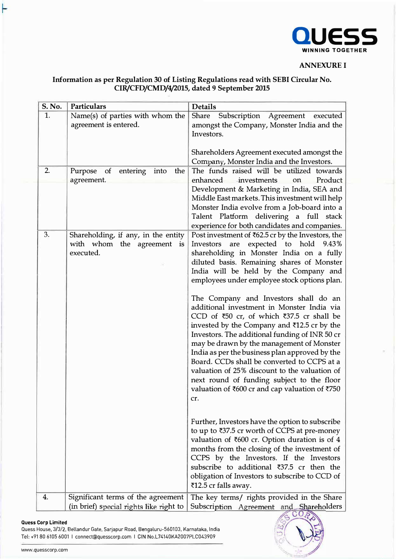

## **ANNEXUREI**

# **Information as per Regulation 30 of Listing Regulations read with SEBI Circular No. CIR/CFD/CMD/4/2015, dated 9 September 2015**

| S. No. | Particulars                                                                    | <b>Details</b>                                                                                                                                                                                                                                                                                                                                                                                                                                                                                                                                                                                                                                                                                                                                                                                                                                                                                                                                                                                                                                                                                                                                                                                                         |
|--------|--------------------------------------------------------------------------------|------------------------------------------------------------------------------------------------------------------------------------------------------------------------------------------------------------------------------------------------------------------------------------------------------------------------------------------------------------------------------------------------------------------------------------------------------------------------------------------------------------------------------------------------------------------------------------------------------------------------------------------------------------------------------------------------------------------------------------------------------------------------------------------------------------------------------------------------------------------------------------------------------------------------------------------------------------------------------------------------------------------------------------------------------------------------------------------------------------------------------------------------------------------------------------------------------------------------|
| 1.     | Name(s) of parties with whom the<br>agreement is entered.                      | <b>Share</b><br>Subscription Agreement executed<br>amongst the Company, Monster India and the<br>Investors.<br>Shareholders Agreement executed amongst the<br>Company, Monster India and the Investors.                                                                                                                                                                                                                                                                                                                                                                                                                                                                                                                                                                                                                                                                                                                                                                                                                                                                                                                                                                                                                |
| 2.     | of<br>Purpose<br>entering<br>into<br>the<br>agreement.                         | The funds raised will be utilized towards<br>on Product<br>enhanced investments<br>Development & Marketing in India, SEA and<br>Middle East markets. This investment will help<br>Monster India evolve from a Job-board into a<br>Talent Platform delivering a full stack<br>experience for both candidates and companies.                                                                                                                                                                                                                                                                                                                                                                                                                                                                                                                                                                                                                                                                                                                                                                                                                                                                                             |
| 3.     | Shareholding, if any, in the entity<br>with whom the agreement is<br>executed. | Post investment of ₹62.5 cr by the Investors, the<br>Investors are expected to hold 9.43%<br>shareholding in Monster India on a fully<br>diluted basis. Remaining shares of Monster<br>India will be held by the Company and<br>employees under employee stock options plan.<br>The Company and Investors shall do an<br>additional investment in Monster India via<br>CCD of $\overline{50}$ cr, of which $\overline{537.5}$ cr shall be<br>invested by the Company and ₹12.5 cr by the<br>Investors. The additional funding of INR 50 cr<br>may be drawn by the management of Monster<br>India as per the business plan approved by the<br>Board. CCDs shall be converted to CCPS at a<br>valuation of 25% discount to the valuation of<br>next round of funding subject to the floor<br>valuation of ₹600 cr and cap valuation of ₹750<br>cr.<br>Further, Investors have the option to subscribe<br>to up to ₹37.5 cr worth of CCPS at pre-money<br>valuation of ₹600 cr. Option duration is of 4<br>months from the closing of the investment of<br>CCPS by the Investors. If the Investors<br>subscribe to additional ₹37.5 cr then the<br>obligation of Investors to subscribe to CCD of<br>₹12.5 cr falls away. |
| 4.     | Significant terms of the agreement                                             | The key terms/ rights provided in the Share                                                                                                                                                                                                                                                                                                                                                                                                                                                                                                                                                                                                                                                                                                                                                                                                                                                                                                                                                                                                                                                                                                                                                                            |
|        | (in brief) special rights like right to                                        | Subscription Agreement and Shareholders<br>COP                                                                                                                                                                                                                                                                                                                                                                                                                                                                                                                                                                                                                                                                                                                                                                                                                                                                                                                                                                                                                                                                                                                                                                         |

#### **auess Corp Limited**

۲

Quess House, 3/3/2, Bellandur Gate, Sarjapur Road, Bengaluru-560103, Karnataka, India Tel: +91 80 6105 6001 I connect@quesscorp.com I GIN No.L74140KA2007PLC043909